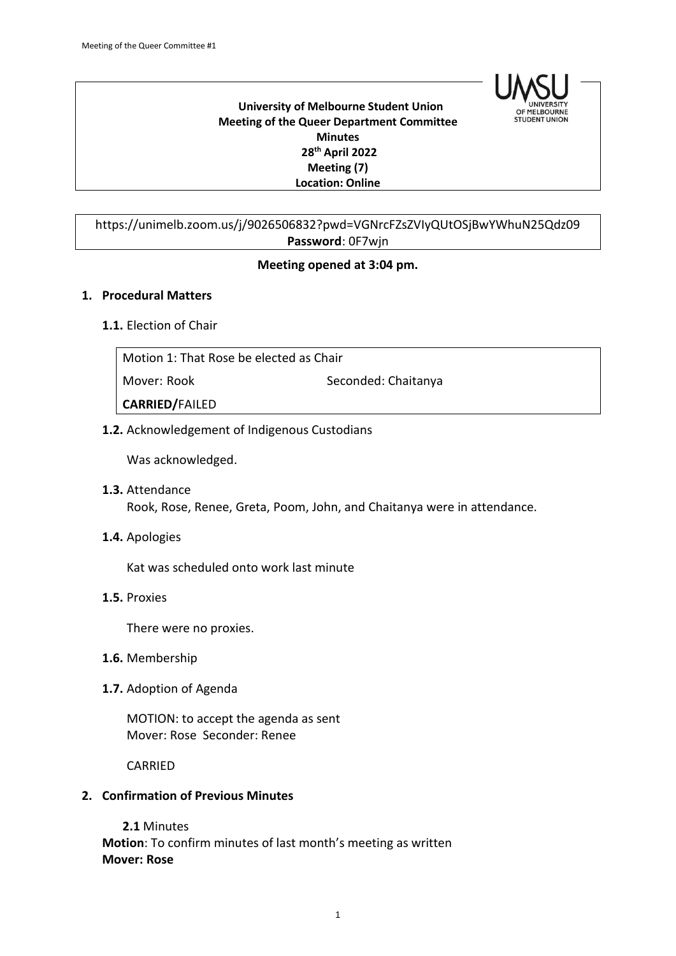

#### **University of Melbourne Student Union Meeting of the Queer Department Committee Minutes 28th April 2022 Meeting (7) Location: Online**

# https://unimelb.zoom.us/j/9026506832?pwd=VGNrcFZsZVIyQUtOSjBwYWhuN25Qdz09 **Password**: 0F7wjn

# **Meeting opened at 3:04 pm.**

## **1. Procedural Matters**

## **1.1.** Election of Chair

| Motion 1: That Rose be elected as Chair |                     |
|-----------------------------------------|---------------------|
| Mover: Rook                             | Seconded: Chaitanya |
| <b>CARRIED/FAILED</b>                   |                     |

# **1.2.** Acknowledgement of Indigenous Custodians

Was acknowledged.

- **1.3.** Attendance Rook, Rose, Renee, Greta, Poom, John, and Chaitanya were in attendance.
- **1.4.** Apologies

Kat was scheduled onto work last minute

**1.5.** Proxies

There were no proxies.

- **1.6.** Membership
- **1.7.** Adoption of Agenda

MOTION: to accept the agenda as sent Mover: Rose Seconder: Renee

CARRIED

# **2. Confirmation of Previous Minutes**

**2.1** Minutes **Motion**: To confirm minutes of last month's meeting as written **Mover: Rose**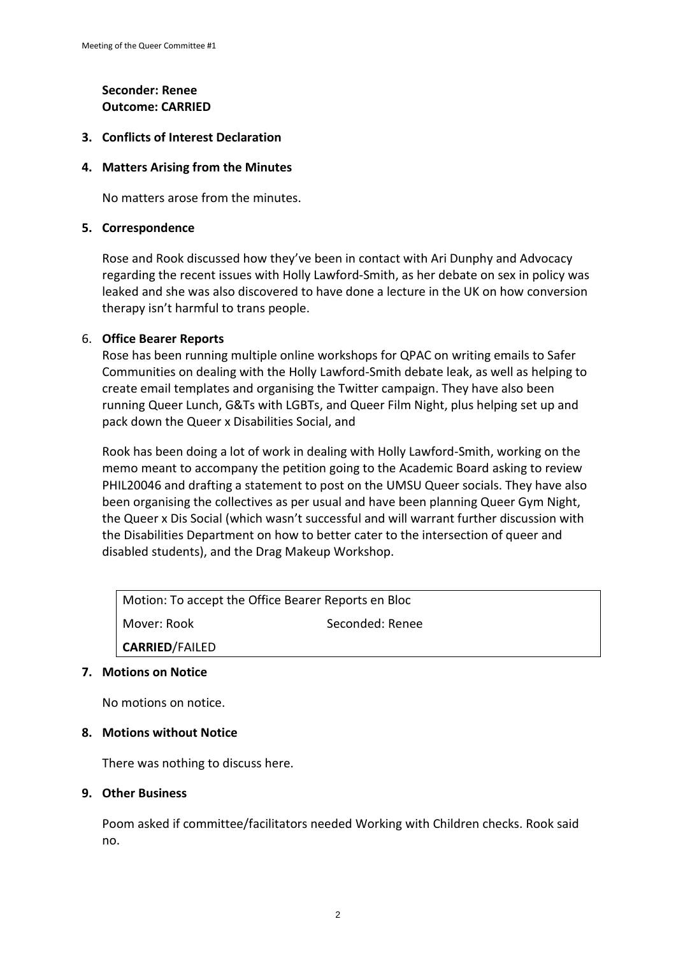# **Seconder: Renee Outcome: CARRIED**

## **3. Conflicts of Interest Declaration**

## **4. Matters Arising from the Minutes**

No matters arose from the minutes.

#### **5. Correspondence**

Rose and Rook discussed how they've been in contact with Ari Dunphy and Advocacy regarding the recent issues with Holly Lawford-Smith, as her debate on sex in policy was leaked and she was also discovered to have done a lecture in the UK on how conversion therapy isn't harmful to trans people.

## 6. **Office Bearer Reports**

Rose has been running multiple online workshops for QPAC on writing emails to Safer Communities on dealing with the Holly Lawford-Smith debate leak, as well as helping to create email templates and organising the Twitter campaign. They have also been running Queer Lunch, G&Ts with LGBTs, and Queer Film Night, plus helping set up and pack down the Queer x Disabilities Social, and

Rook has been doing a lot of work in dealing with Holly Lawford-Smith, working on the memo meant to accompany the petition going to the Academic Board asking to review PHIL20046 and drafting a statement to post on the UMSU Queer socials. They have also been organising the collectives as per usual and have been planning Queer Gym Night, the Queer x Dis Social (which wasn't successful and will warrant further discussion with the Disabilities Department on how to better cater to the intersection of queer and disabled students), and the Drag Makeup Workshop.

Motion: To accept the Office Bearer Reports en Bloc Mover: Rook Seconded: Renee **CARRIED**/FAILED

#### **7. Motions on Notice**

No motions on notice.

#### **8. Motions without Notice**

There was nothing to discuss here.

#### **9. Other Business**

Poom asked if committee/facilitators needed Working with Children checks. Rook said no.